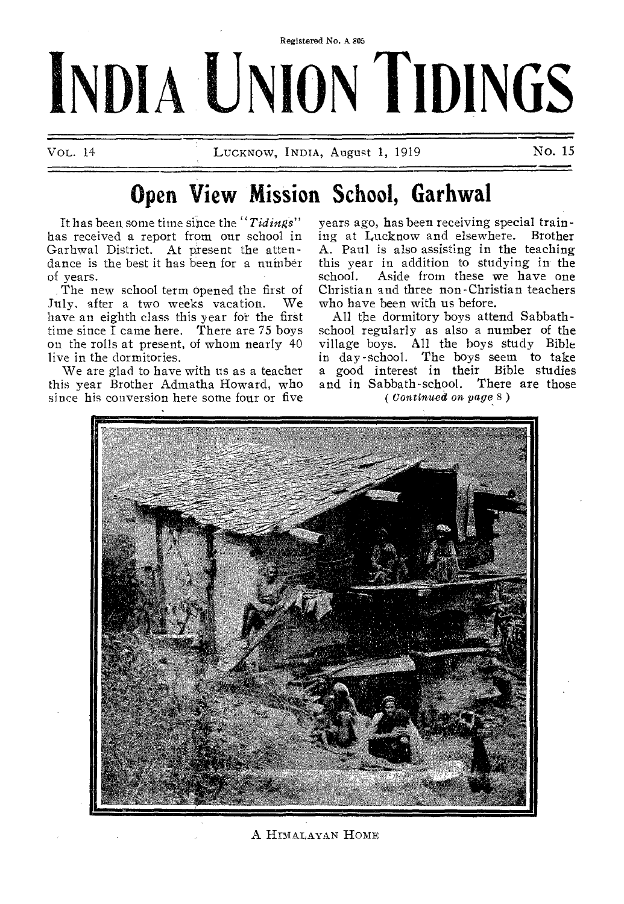# Registered No. A 805 **INDIA UN1O<sup>R</sup> <sup>N</sup>NO TIDINGS**

VOL. 14 **LUCKNOW, INDIA, August 1, 1919** No. 15

# **Open View Mission School, Garhwal**

It has been some time since the *"Tidings"*  has received a report from our school in Garhwal District. At present the attendance is the best it has been for a number of years.

The new school term opened the first of July, after a two weeks vacation. We have an eighth class this year for the first time since I came here. There are 75 boys on the rolls at present, of whom nearly 40 live in the dormitories.

We are glad to have with us as a teacher this year Brother Admatha Howard, who since his conversion here some four or five

years ago, has been receiving special training at Lucknow and elsewhere. Brother A. Paul is also assisting in the teaching this year in addition to studying in the school. Aside from these we have one Christian and three non-Christian teachers who have been with us before.

All the dormitory boys attend Sabbathschool regularly as also a number of the village boys. All the boys study Bible in day-school. The boys seem to take a good interest in their Bible studies and in Sabbath-school. There are those *( Continued on page 8 )* 



A HIMALAYAN HOME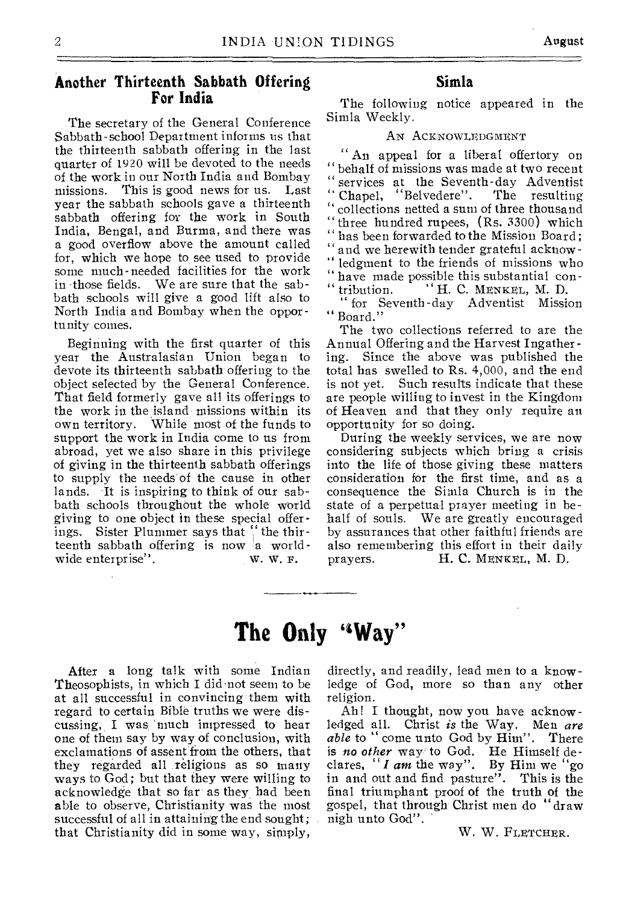#### **Another Thirteenth Sabbath Offering For India**

The secretary of the General Conference Sabbath-school Department informs us that the thirteenth sabbath offering in the last quarter of 1920 will be devoted to the needs of the work in our North India and Bombay missions. This is good news for us. Last year the sabbath schools gave a thirteenth sabbath offering for the work in South India, Bengal, and Burma, and there was a good overflow above the amount called for, which we hope to see used to provide some much-needed facilities for the work in those fields. We are sure that the sabbath schools will give a good lift also to North India and Bombay when the opportunity comes.

Beginning with the first quarter of this year the Australasian Union began to devote its thirteenth sabbath offering to the object selected by the General Conference. That field formerly gave all its offerings to the work in the island missions within its own territory. While most of the funds to support the work in India come to us from abroad, yet we also share in this privilege of giving in the thirteenth sabbath offerings to supply the needs of the cause in other lands. It is inspiring to think of our sabbath schools throughout the whole world giving to one object in these special offerings. Sister Plummer says that " the thirteenth sabbath offering is now a world-<br>wide enterprise". W. W. F. wide enterprise".

#### **Simla**

The following notice appeared in the Simla Weekly.

#### AN ACKNOWLEDGMENT

" An appeal for a liberal offertory on " behalf of missions was made at two recent services at the Seventh-day Adventist<br>Chapel, "Belvedere". The resulting Chapel, "Belvedere". " collections netted a sum of three thousand three hundred rupees,  $(Rs. 3300)$  which has been forwarded to the Mission Board; and we herewith tender grateful acknowledgment to the friends of missions who " have made possible this substantial con-" tribution. " H. C. MENKEL, M. D.

for Seventh-day Adventist Mission " Board."

The two collections referred to are the Annual Offering and the Harvest Ingather ing. Since the above was published the total has swelled to Rs. 4,000, and the end is not yet. Such results indicate that these are people willing to invest in the Kingdom of Heaven and that they only require an opportunity for so doing.

During the weekly services, we are now considering subjects which bring a crisis into the life of those giving these matters consideration for the first time, and as a consequence the Simla Church is in the state of a perpetual prayer meeting in behalf of souls. We are greatly encouraged by assurances that other faithful friends are also remembering this effort in their daily prayers. H. C. MENKEL, M. D.

# **The Only `'Way"**

After a long talk with some Indian Theosophists, in which I did not seem to be at all successful in convincing them with regard to certain Bible truths we were discussing, I was 'much impressed to hear one of them say by way of conclusion, with exclamations of assent from the others, that they regarded all religions as so many ways to God; but that they were willing to acknowledge that so far as they had been able to observe, Christianity was the most successful of all in attaining the end sought; that Christianity did in some way, simply,

directly, and readily, lead men to a knowledge of God, more so than any other religion.

Ah! I thought, now you have acknowledged all. Christ *is* the Way. Men *are able* to " come unto God by Him". There is *no other way* to God. He Himself declares, " *I am* the way". By Him we "go in and out and find pasture". This is the final triumphant proof of the truth of the gospel, that through Christ men do "draw nigh unto God".

W. W. FLETCHER.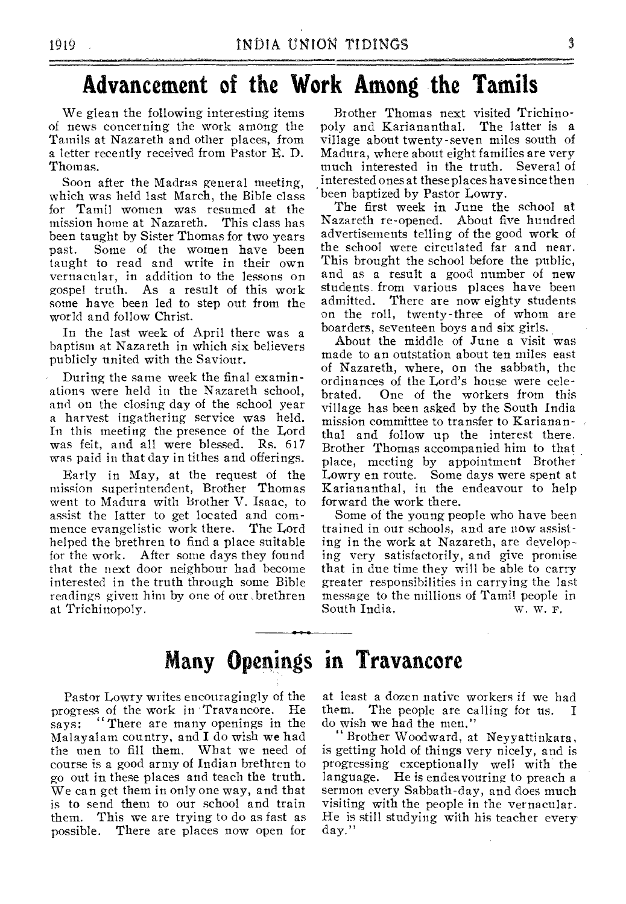# **Advancement of the Work Among the Tamils**

We glean the following interesting items of news concerning the work among the Tamils at Nazareth and other places, from a letter recently received from Pastor E. D. Thomas.

Soon after the Madras general meeting, which was held last March, the Bible class for Tamil women was resumed at the mission home at Nazareth. This class has mission home at Nazareth. been taught by Sister Thomas for two years past. Some of the women have been taught to read and write in their own vernacular, in addition to the lessons on gospel truth. As a result of this work some have been led to step out from the world and follow Christ.

In the last week of April there was a baptism at Nazareth in which six believers publicly united with the Saviour.

During the same week the final examinations were held in the Nazareth school, and on the closing day of the school year a harvest ingathering service was held. In this meeting the presence of the Lord was felt, and all were blessed. Rs. 617 was paid in that day in tithes and offerings.

Early in May, at the request of the mission superintendent, Brother Thomas went to Madura with Brother V. Isaac, to assist the latter to get located and commence evangelistic work there. The Lord helped the brethren to find a place suitable for the work. After some days they found that the next door neighbour had become interested in the truth through some Bible readings given him by one of our ,brethren at Trichinopoly.

Brother Thomas next visited Trichinopoly and Kariananthal. The latter is a village about twenty-seven miles south of Madura, where about eight families are very much interested in the truth. Several of interested ones at these places have since then been baptized by Pastor Lowry.

The first week in June the school at Nazareth re-opened. About five hundred advertisements telling of the good work of the school were circulated far and near. This brought the school before the public, and as a result a good number of new students from various places have been admitted. There are now eighty students on the roll, twenty-three of whom are boarders, seventeen boys and six girls.

About the middle of June a visit was made to an outstation about ten miles east of Nazareth, where, on the sabbath, the ordinances of the Lord's house were celebrated. One of the workers from this village has been asked by the South India mission committee to transfer to Kariananthal and follow up the interest there. Brother Thomas accompanied him to that place, meeting by appointment Brother Lowry en route. Some days were spent at Kariananthal, in the endeavour to help forward the work there.

Some of the young people who have been trained in our schools, and are now assisting in the work at Nazareth, are developing very satisfactorily, and give promise that in due time they will be able to carry greater responsibilities in carrying the last message to the millions of Tamil people in South India. W. W. F.

## **Many Openings in Travancore**

Pastor Lowry writes encouragingly of the progress of the work in Travancore. He says: "There are many openings in the Malayalam country, and I do wish we had the men to fill them. What we need of course is a good army of Indian brethren to go out in these places and teach the truth. We can get them in only one way, and that is to send them to our school and train them. This we are trying to do as fast as possible. There are places now open for at least a dozen native workers if we had them. The people are calling for us. I do wish we had the men."

" Brother Woodward, at Neyyattinkara, is getting hold of things very nicely, and is progressing exceptionally well with the language. He is endeavouring to preach a sermon every Sabbath-day, and does much visiting with the people in the vernacular. He is still studying with his teacher every day."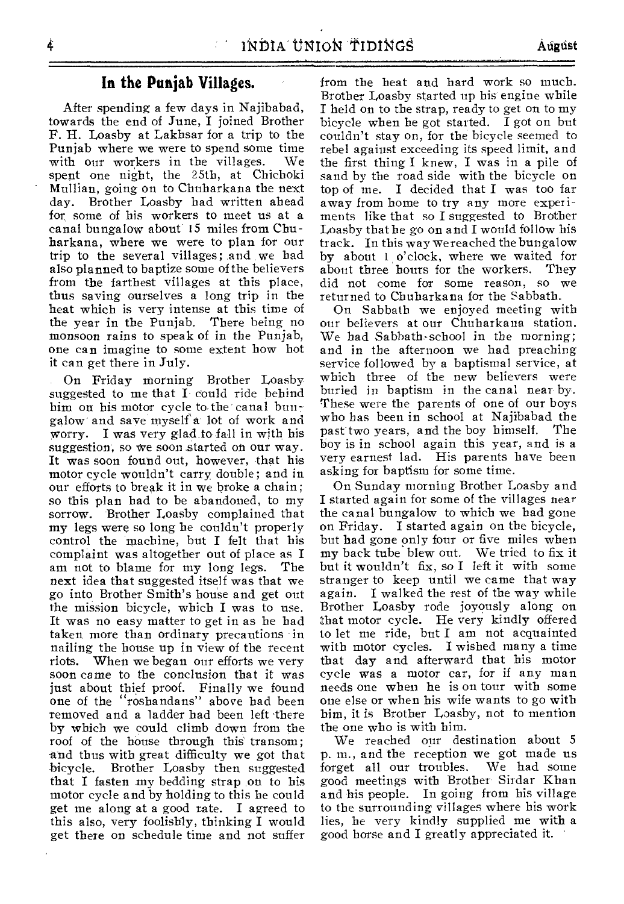#### **In the Punjab Villages.**

After spending a few days in Najibabad, towards the end of June, I joined Brother F. H. Loasby at Lakhsar for a trip to the Punjab where we were to spend some time<br>with our workers in the villages. We with our workers in the villages. spent one night, the 25th, at Chichoki Mullian, going on to Chuharkana the next day. Brother Loasby had written ahead for some of his workers to meet us at a canal bungalow about 15 miles from Chuharkana, where we were to plan for our trip to the several villages; and we had also planned to baptize some of the believers from the farthest villages at this place, thus saving ourselves a long trip in the heat which is very intense at this time of the year in the Punjab. There being no monsoon rains to speak of in the Punjab, one can imagine to some extent how hot it can get there in July.

On Friday morning Brother Loasby suggested to me that I could ride behind him on his motor cycle to the canal bungalow and save myselfa lot of work and worry. I was very glad to fall in with his suggestion, so we soon started on our way. It was soon found out, however, that his motor cycle wouldn't carry double; and in our efforts to break it in we broke a chain; so this plan had to be abandoned, to my sorrow. Brother Loasby complained that my legs were so long he couldn't properly control the machine, but I felt that his complaint was altogether out of place as I am not to blame for my long legs. next idea that suggested itself was that we go into Brother Smith's house and get out the mission bicycle, which I was to use. It was no easy matter to get in as he had taken more than ordinary precautions in nailing the house up in view of the recent riots. When we began our efforts we very soon came to the conclusion that it was just about thief proof. Finally we found one of the "roshandans" above had been removed and a ladder bad been left there by which we could climb down from the roof of the house through this transom; and thus with great difficulty we got that bicycle. Brother Loasby then suggested that I fasten my bedding strap on to his motor cycle and by holding to this he could get me along at a good tate. I agreed to this also, very foolishly, thinking I would get there on schedule time and not suffer

from the heat and bard work so much. Brother Loasby started up his engine while I held on to the strap, ready to get on to my bicycle when he got started. I got on but couldn't stay on, for the bicycle seemed to rebel against exceeding its speed limit, and the first thing I knew, I was in a pile of sand by the road side with the bicycle on top of me. I decided that I was too far away from home to try any more experiments like that so I suggested to Brother Loasby that he go on and I would follow his track. In this way we reached the bungalow by about 1 o'clock, where we waited for<br>about three hours for the workers. They about three hours for the workers. did not come for some reason, so we returned to Chuharkana for the Sabbath.

On Sabbath we enjoyed meeting with our believers at our Chuharkana station. We had Sabbath-school in the morning; and in the afternoon we had preaching service followed by a baptismal service, at which three of the new believers were buried in baptism in the canal near by. These were the parents of one of our boys who has been in school at Najibabad the past two years, and the boy himself. boy is in school again this year, and is a very earnest lad. His parents have been asking for baptism for some time.

On Sunday morning Brother Loasby and I started again for some of the villages near the canal bungalow to which we had gone on Friday. I started again on the bicycle, but had gone only four or five miles when my back tube blew out. We tried to fix it but it wouldn't fix, so I left it with some stranger to keep until we came that way again. I walked the rest of the way while Brother Loasby rode joyously along on that motor cycle. He very kindly offered to let me ride, but I am not acquainted with motor cycles. I wished many a time that day and afterward that his motor cycle was a motor car, for if any man needs one when he is on tour with some one else or when his wife wants to go with him, it is Brother Loasby, not to mention the one who is with him.

We reached our destination about 5 p. m., and the reception we got made us<br>forget all our troubles. We had some forget all our troubles. good meetings with Brother Sirdar Khan and his people. In going from his village to the surrounding villages where his work lies, he very kindly supplied me with a good horse and I greatly appreciated it.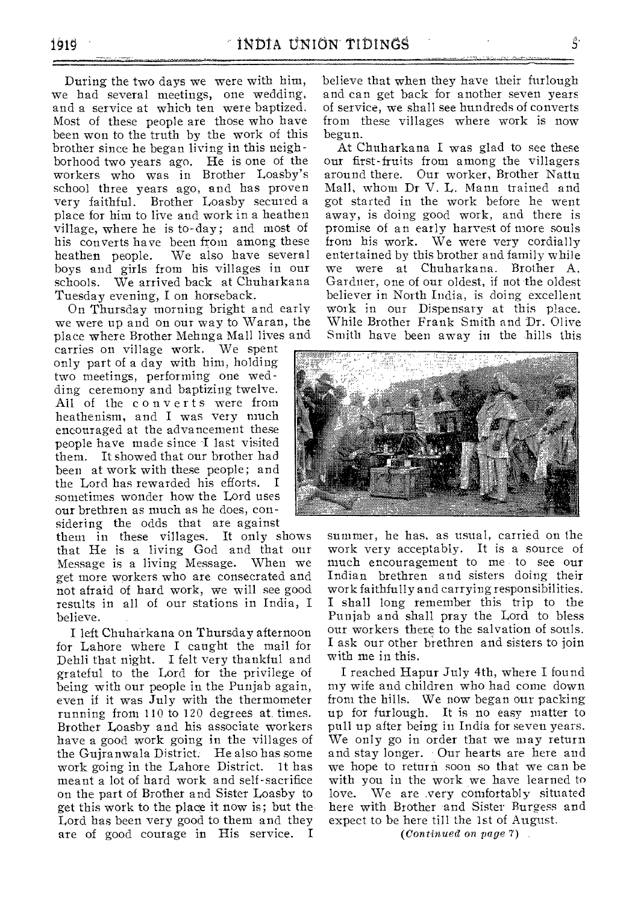During the two days we were with him, we had several meetings, one wedding, and a service at which ten were baptized. Most of these people are those who have been won to the truth by the work of this brother since he began living in this neighborhood two years ago. He is one of the workers who was in Brother Loasby's school three years ago, and has proven very faithful. Brother Loasby secured a place for him to live and work in a heathen village, where he is to-day ; and most of his converts have been from among these heathen people. We also have several boys and girls from his villages in our schools. We arrived back at Chuharkana Tuesday evening, I on horseback.

On Thursday morning bright and early we were up and on our way to Waran, the place where Brother Mehnga Mall lives and

carries on village work. We spent only part of a day with him, holding two meetings, performing one wedding ceremony and baptizing twelve. All of the converts were from heathenism, and I was very much encouraged at the advancement these people have made since I last visited them. It showed that our brother had been at work with these people; and<br>the Lord has rewarded his efforts. I the Lord has rewarded his efforts. sometimes wonder how the Lord uses our brethren as much as he does, considering the odds that are against

them in these villages. It only shows that He is a living God and that our Message is a living Message. get more workers who are consecrated and not afraid of hard work, we will see good results in all of our stations in India, I believe.

I left Chuharkana on Thursday afternoon for Lahore where I caught the mail for Dehli that night. I felt very thankful and grateful to the Lord for the privilege of being with our people in the Punjab again, even if it was July with the thermometer running from 110 to 120 degrees at. times. Brother Loasby and his associate workers have a good work going in the villages of the Gujranwala District. He also has some work going in the Lahore District. It has meant a lot of hard work and self-sacrifice on the part of Brother and Sister Loasby to get this work to the place it now is; but the Lord has been very good to them and they are of good courage in His service. I

believe that when they have their furlough and can get back for another seven years of service, we shall see hundreds of converts from these villages where work is now begun.

At Chuharkana I was glad to see these our first-fruits from among the villagers around there. Our worker, Brother Nattu Mall, whom Dr V. L. Mann trained and got started in the work before he went away, is doing good work, and there is promise of an early harvest of more souls from his work. We were very cordially entertained by this brother and family while we were at Chuharkana. Brother A. Gardner, one of our oldest, if not the oldest believer in North India, is doing excellent work in our Dispensary at this place. While Brother Frank Smith and Dr. Olive Smith have been away in the hills this



summer, he has, as usual, carried on the work very acceptably. It is a source of much encouragement to me to see our Indian brethren and sisters doing their work faithfully and carrying responsibilities. I shall long remember this trip to the Punjab and shall pray the Lord to bless our workers there to the salvation of souls. I ask our other brethren and sisters to join with me in this.

I reached Hapur July 4th, where I found my wife and children who had come down from the hills. We now began our packing up for furlough. It is no easy matter to pull up after being in India for seven years. We only go in order that we may return and stay longer. Our hearts are here and we hope to return soon so that we can be with you in the work we have learned to love. We are very comfortably situated here with Brother and Sister Burgess and expect to be here till the 1st of August.

*(Continued on page 7)*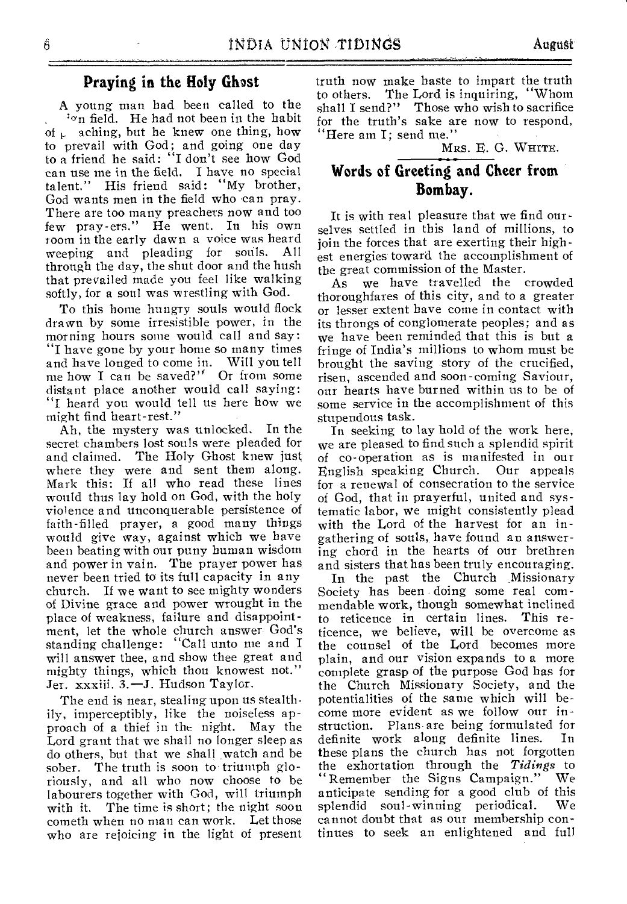A young man had been called to the on field. He had not been in the habit of  $\mu$  aching, but he knew one thing, how to prevail with God; and going one day to a friend he said: "I don't see how God can use me in the field. I have no special talent." His friend said: "My brother, God wants men in the field who can pray. There are too many preachers now and too few pray-ers." He went. In his own room in the early dawn a voice was heard<br>weeping and pleading for souls. All weeping and pleading for souls. through the day, the shut door and the hush that prevailed made you feel like walking softly, for a soul was wrestling with God.

To this home hungry souls would flock drawn by some irresistible power, in the morning hours some would call and say: "I have gone by your home so many times and have longed to come in. Will you tell me how I can he saved?". Or from some distant place another would call saying: "I heard you would tell us here how we might find heart-rest."

Ah, the mystery was unlocked. In the secret chambers lost souls were pleaded for and claimed. The Holy Ghost knew just where they were and sent them along. Mark this: If all who read these lines would thus lay hold on God, with the holy violence and unconquerable persistence of faith-filled prayer, a good many things would give way, against which we have been beating with our puny human wisdom and power in vain. The prayer power has never been tried to its full capacity in any church. If we want to see mighty wonders of Divine grace and power wrought in the place of weakness, failure and disappointment, let the whole church answer God's standing challenge: "Call unto me and I will answer thee, and show thee great and mighty things, which thou knowest not." Jer. xxxiii. 3.—J. Hudson Taylor.

The end is near, stealing upon us stealthily, imperceptibly, like the noiseless approach of a thief in the night. May the Lord grant that we shall no longer sleep as do others, but that we shall .watch and be sober. The truth is soon to triumph gloriously, and all who now choose to be labourers together with God, will triumph with it. The time is short; the night soon cometh when no man can work. Let those who are rejoicing in the light of present

truth now make haste to impart the truth to others. The Lord is inquiring, "Whom shall I send?" Those who wish to sacrifice for the truth's sake are now to respond, "Here am I; send me."

MRS. E. G. WHITE.

### Words of Greeting and Cheer from Bombay.

It is with real pleasure that we find ourselves settled in this land of millions, to join the forces that are exerting their highest energies toward the accomplishment of the great commission of the Master.

As we have travelled the crowded thoroughfares of this city, and to a greater or lesser extent have come in contact with its throngs of conglomerate peoples; and as we have been reminded that this is but a fringe of India's millions to whom must be brought the saving story of the crucified, risen, ascended and soon-coming Saviour, our hearts have burned within us to be of some service in the accomplishment of this stupendous task.

In seeking to lay hold of the work here, we are pleased to find such a splendid spirit of co-operation as is manifested in our English speaking Church. Our appeals for a renewal of consecration to the service of God, that in prayerful, united and systematic labor, we might consistently plead with the Lord of the harvest for an ingathering of souls,, have found an answering chord in the hearts of our brethren and sisters that has been truly encouraging.

In the past the Church Missionary Society has been doing some real commendable work, though somewhat inclined<br>to reticence in certain lines. This reto reticence in certain lines. ticence, we believe, will be overcome as the counsel of the Lord becomes more plain, and our vision expands to a more complete grasp of the purpose God has for the Church Missionary Society, and the potentialities of the same which will become more evident as we follow our instruction. Plans are being formulated for<br>definite work along definite lines. In definite work along definite lines. these plans the church has not forgotten the exhortation through the *Tidings* to Remember the Signs Campaign." We anticipate sending for a good club of this<br>splendid soul-winning periodical. We splendid soul-winning periodical. cannot doubt that as our membership continues to seek an enlightened and full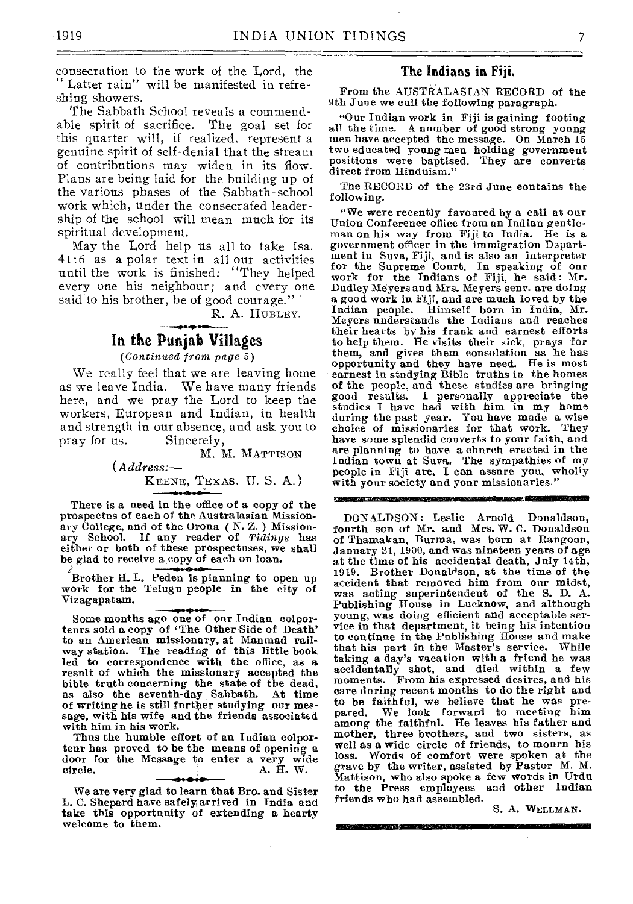consecration to the work of the Lord, the " Latter rain" will be manifested in refreshing showers.

The Sabbath School reveals a commendable spirit of sacrifice. The goal set for this quarter will, if realized, represent a genuine spirit of self-denial that the stream of contributions may widen in its flow. Plans are being laid for the building up of the various phases of the Sabbath-school work which, under the consecrated leadership of the school will mean much for its spiritual development.

May the Lord help us all to take Isa. 41:6 as a polar text in all our activities until the work is finished: "They helped every one his neighbour; and every one said to his brother, be of good courage."

R. A. HuBLEY.

#### In the Punjab Villages

*(Continued from page* 5)

We really feel that we are leaving home as we leave India. We have many friends here, and we pray the Lord to keep the workers, European and Indian, in health and strength in our absence, and ask you to<br>pray for us. Sincerely, Sincerely,

> M. M. MATTISON *(Address:—*  KEENE, TEXAS. U.S. A.)

There is a need in the office of a copy of the prospectus of each of the Australasian Missionary College, and of the Orona (N.Z.) Missionary School. if any reader of *Tidings* has either or both of these prospectuses, we shall be glad to receive a copy of each on loan.

Brother H. L. Peden is planning to open up work for the Telugu people in the city of Vizagapatam.

Some months ago one of our Indian colportenrs sold a copy of 'The Other Side of Death' to an American missionary, at Manmad railway station. The reading of this little book led to correspondence with the office, as **a**  result of which the missionary accepted the bible truth concerning the state of the dead, as also the seventh-day Sabbath. At time of writing he is still further studying our message, with his wife and the friends associated with him in his work.

Thus the humble effort of an Indian colporteur has proved to be the means of opening a door for the Message to enter a very wide circle. A. H. W.

We are very glad to learn that Bro. and Sister L. C. Shepard have safely arrived in India and take this opportunity of extending a hearty welcome to them.

#### **The Indians in Fiji.**

From the AUSTRALASIAN RECORD of the 9th June we cull the following paragraph.

"Our Indian work in Fiji is gaining footing all the time. A number of good strong young men have accepted the message. On March 15 two educated young men holding government positions were baptised. They are converts direct from Hinduism."

The RECORD of the 23rd June contains the following.

"We were recently favoured by a call at our Union Conference office from an Indian gentleman on his way from Fiji to India. He is a government officer in the immigration Department in Suva, Fiji, and is also an interpreter for the Supreme Court. In speaking of our work for the Indians of Fiji, he said : Mr. Dudley Meyers and Mrs. Meyers senr. are doing a good work in Fiji, and are much loved by the Indian people. Himself born in India, Mr. Meyers understands the Indians and reaches their hearts by his frank and earnest efforts to help them. He visits their sick, prays for them, and gives them consolation as he has opportunity and they have need. He is most earnest in studying Bible truths in the homes of the people, and these studies are bringing good results. I personally appreciate the studies I have had with him in my home during the past year. You have made a wise choice of missionaries for that work. They have some splendid converts to your faith, and are planning to have a church erected in the Indian town at Suva. The sympathies of my people in Fiji are, I can assure you, wholly with your society and your missionaries."

.<br>Anglický filozof (\* 1838) ISIMEMBISSOMMI

DONALDSON : Leslie Arnold Donaldson, fourth son of Mr. and Mrs. W. C. Donaldson of Thamakan, Burma, was born at Rangoon, January 21, 1900, and was nineteen years of *age*  at the time of his accidental death, July 14th, 1919. Brother Donaldson, at the time of the accident that removed him from our midst, was acting superintendent of the S. D. A. Publishing House in Lucknow, and although young, was doing efficient and acceptable ser-vice in that department, it being his intention to continue in the Publishing House and make that his part in the Master's service. While taking a day's vacation with a friend he was accidentally shot, and died within a few moments. From his expressed desires, and his care during recent months to do the right and to be faithful, we believe that he was prepared. We look forward to meeting him among the faithful. He leaves his father and mother, three brothers, and two sisters, as well as a wide circle of friends, to mourn his loss. Words of comfort were spoken at the grave by the writer, assisted by Pastor M. M. Mattison, who also spoke a few words in Urdu to the Press employees and other Indian friends who had assembled.

an a shekara na sa tana na Amira Sa

S. A. WELLMAN.